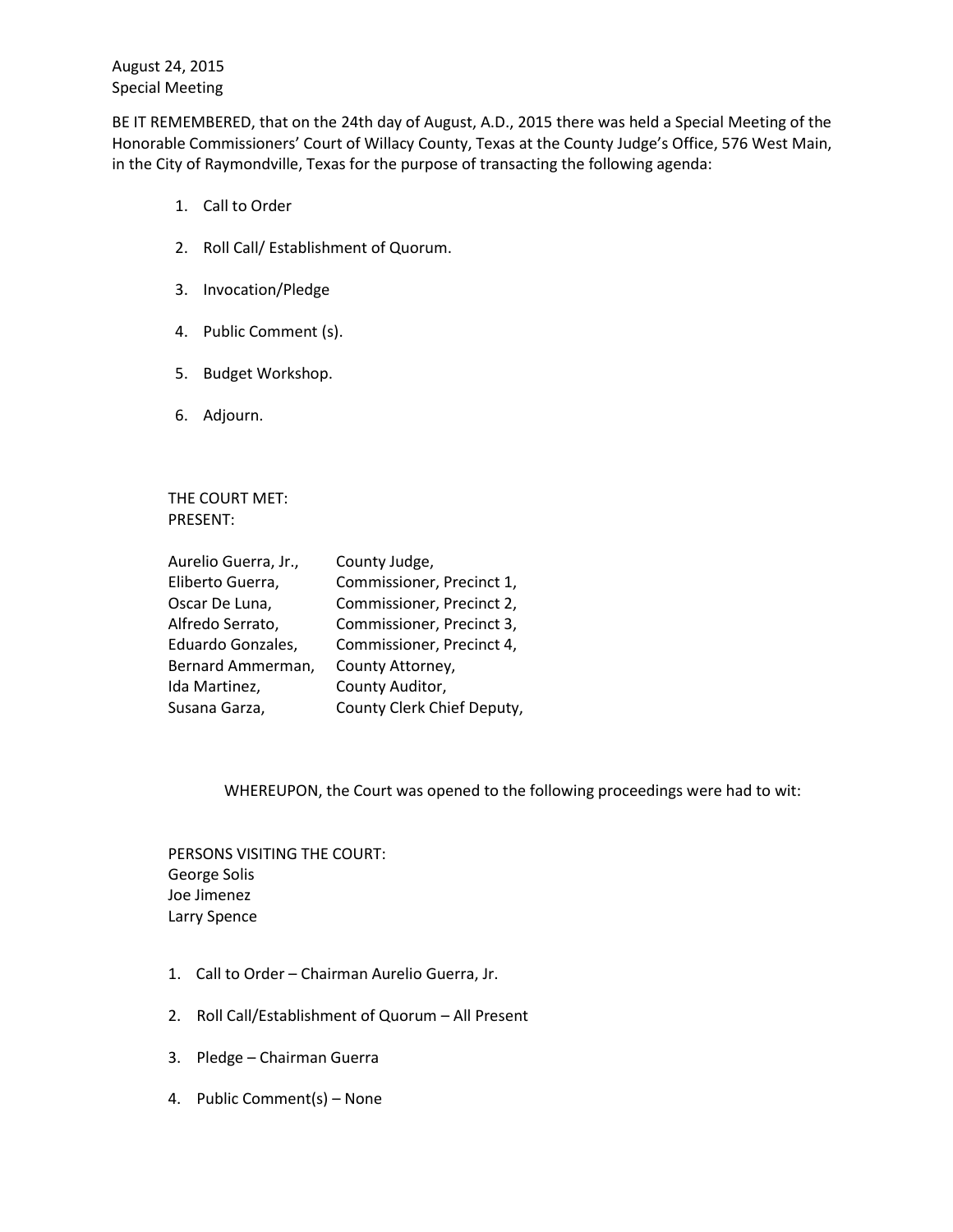August 24, 2015 Special Meeting

BE IT REMEMBERED, that on the 24th day of August, A.D., 2015 there was held a Special Meeting of the Honorable Commissioners' Court of Willacy County, Texas at the County Judge's Office, 576 West Main, in the City of Raymondville, Texas for the purpose of transacting the following agenda:

- 1. Call to Order
- 2. Roll Call/ Establishment of Quorum.
- 3. Invocation/Pledge
- 4. Public Comment (s).
- 5. Budget Workshop.
- 6. Adjourn.

THE COURT MET: PRESENT:

| Aurelio Guerra, Jr., | County Judge,              |
|----------------------|----------------------------|
| Eliberto Guerra,     | Commissioner, Precinct 1,  |
| Oscar De Luna,       | Commissioner, Precinct 2,  |
| Alfredo Serrato,     | Commissioner, Precinct 3,  |
| Eduardo Gonzales,    | Commissioner, Precinct 4,  |
| Bernard Ammerman,    | County Attorney,           |
| Ida Martinez,        | County Auditor,            |
| Susana Garza,        | County Clerk Chief Deputy, |

WHEREUPON, the Court was opened to the following proceedings were had to wit:

PERSONS VISITING THE COURT: George Solis Joe Jimenez Larry Spence

- 1. Call to Order Chairman Aurelio Guerra, Jr.
- 2. Roll Call/Establishment of Quorum All Present
- 3. Pledge Chairman Guerra
- 4. Public Comment(s) None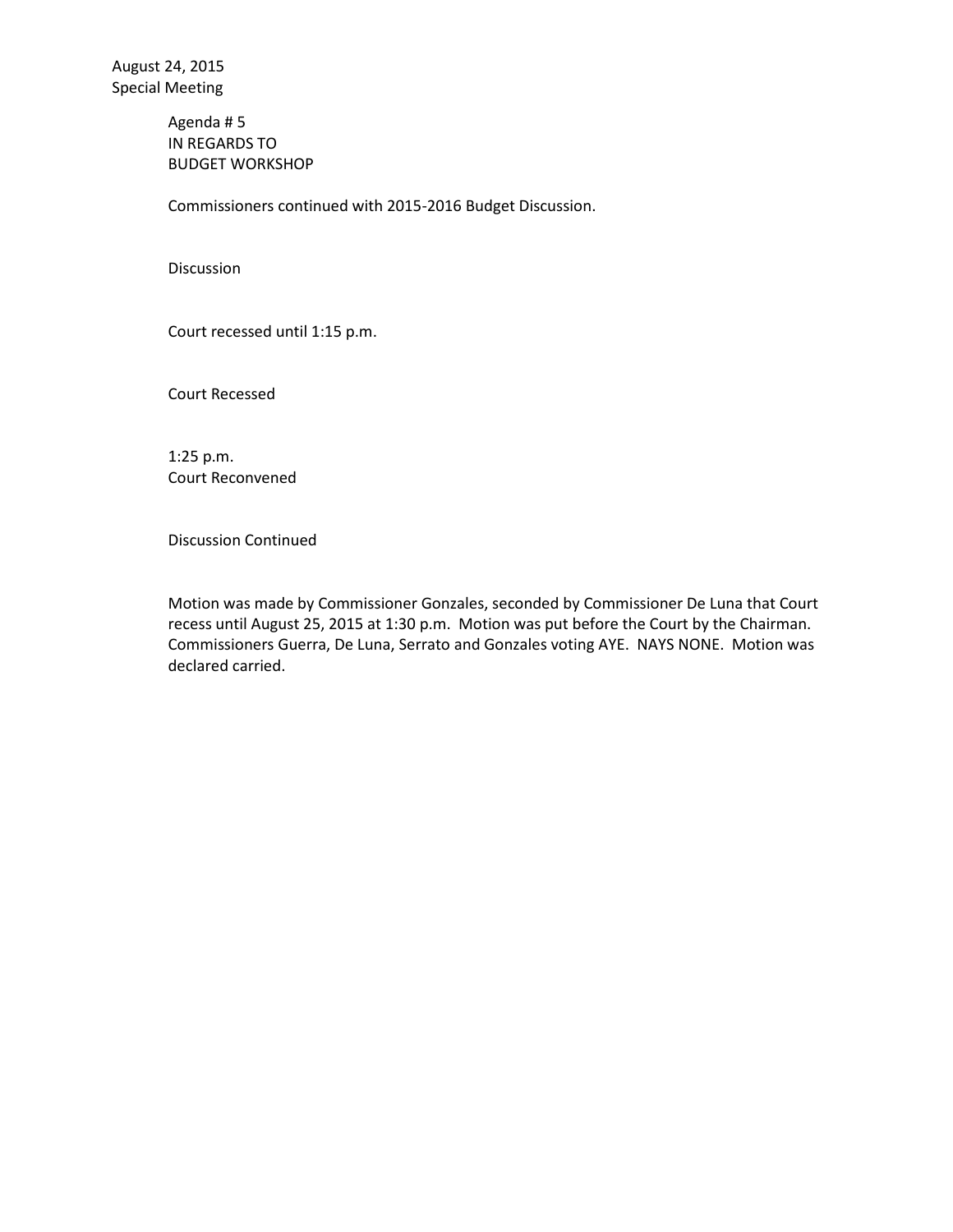Agenda # 5 IN REGARDS TO BUDGET WORKSHOP

Commissioners continued with 2015-2016 Budget Discussion.

Discussion

Court recessed until 1:15 p.m.

Court Recessed

1:25 p.m. Court Reconvened

Discussion Continued

Motion was made by Commissioner Gonzales, seconded by Commissioner De Luna that Court recess until August 25, 2015 at 1:30 p.m. Motion was put before the Court by the Chairman. Commissioners Guerra, De Luna, Serrato and Gonzales voting AYE. NAYS NONE. Motion was declared carried.